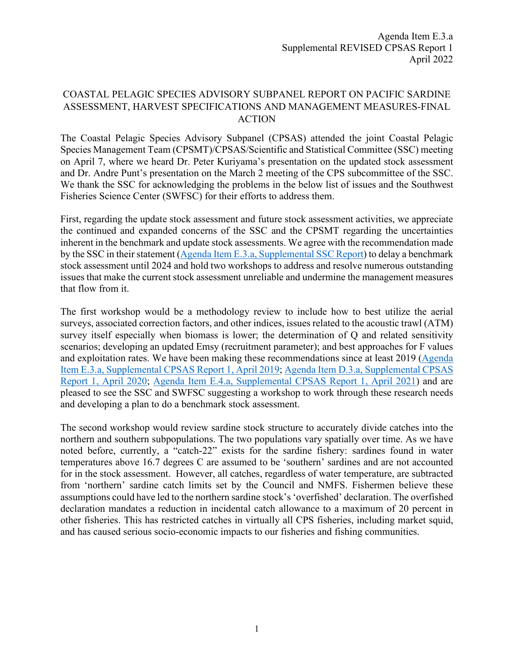## COASTAL PELAGIC SPECIES ADVISORY SUBPANEL REPORT ON PACIFIC SARDINE ASSESSMENT, HARVEST SPECIFICATIONS AND MANAGEMENT MEASURES-FINAL ACTION

The Coastal Pelagic Species Advisory Subpanel (CPSAS) attended the joint Coastal Pelagic Species Management Team (CPSMT)/CPSAS/Scientific and Statistical Committee (SSC) meeting on April 7, where we heard Dr. Peter Kuriyama's presentation on the updated stock assessment and Dr. Andre Punt's presentation on the March 2 meeting of the CPS subcommittee of the SSC. We thank the SSC for acknowledging the problems in the below list of issues and the Southwest Fisheries Science Center (SWFSC) for their efforts to address them.

First, regarding the update stock assessment and future stock assessment activities, we appreciate the continued and expanded concerns of the SSC and the CPSMT regarding the uncertainties inherent in the benchmark and update stock assessments. We agree with the recommendation made by the SSC in their statement [\(Agenda Item E.3.a, Supplemental SSC Report\)](https://www.pcouncil.org/documents/2022/04/e-3-a-supplemental-ssc-report-1-4.pdf/) to delay a benchmark stock assessment until 2024 and hold two workshops to address and resolve numerous outstanding issues that make the current stock assessment unreliable and undermine the management measures that flow from it.

The first workshop would be a methodology review to include how to best utilize the aerial surveys, associated correction factors, and other indices, issues related to the acoustic trawl (ATM) survey itself especially when biomass is lower; the determination of Q and related sensitivity scenarios; developing an updated Emsy (recruitment parameter); and best approaches for F values and exploitation rates. We have been making these recommendations since at least 2019 [\(Agenda](https://www.pcouncil.org/documents/2019/04/agenda-item-e-3-a-supplemental-cpsas-report-1-2.pdf/)  [Item E.3.a, Supplemental CPSAS Report 1, April 2019;](https://www.pcouncil.org/documents/2019/04/agenda-item-e-3-a-supplemental-cpsas-report-1-2.pdf/) [Agenda Item D.3.a, Supplemental CPSAS](https://www.pcouncil.org/documents/2020/04/d-3-a-supplemental-cpsas-report-1.pdf/)  [Report 1, April 2020;](https://www.pcouncil.org/documents/2020/04/d-3-a-supplemental-cpsas-report-1.pdf/) [Agenda Item E.4.a, Supplemental CPSAS Report 1, April 2021\)](https://www.pcouncil.org/documents/2021/04/e-4-a-supplemental-cpsas-report-1.pdf/) and are pleased to see the SSC and SWFSC suggesting a workshop to work through these research needs and developing a plan to do a benchmark stock assessment.

The second workshop would review sardine stock structure to accurately divide catches into the northern and southern subpopulations. The two populations vary spatially over time. As we have noted before, currently, a "catch-22" exists for the sardine fishery: sardines found in water temperatures above 16.7 degrees C are assumed to be 'southern' sardines and are not accounted for in the stock assessment. However, all catches, regardless of water temperature, are subtracted from 'northern' sardine catch limits set by the Council and NMFS. Fishermen believe these assumptions could have led to the northern sardine stock's 'overfished' declaration. The overfished declaration mandates a reduction in incidental catch allowance to a maximum of 20 percent in other fisheries. This has restricted catches in virtually all CPS fisheries, including market squid, and has caused serious socio-economic impacts to our fisheries and fishing communities.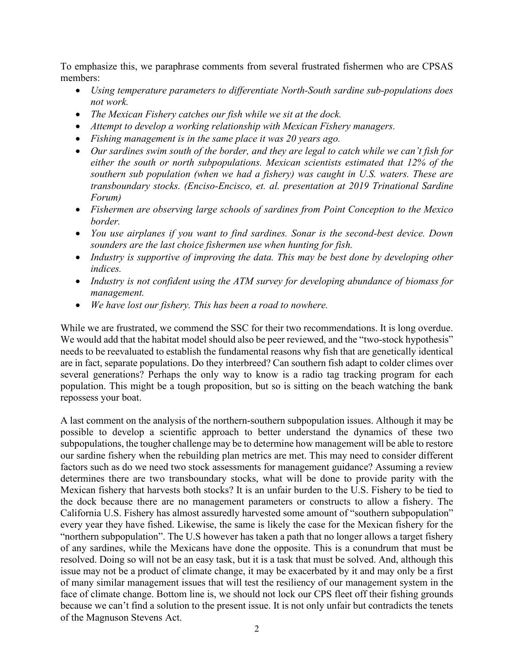To emphasize this, we paraphrase comments from several frustrated fishermen who are CPSAS members:

- *Using temperature parameters to differentiate North-South sardine sub-populations does not work.*
- *The Mexican Fishery catches our fish while we sit at the dock.*
- *Attempt to develop a working relationship with Mexican Fishery managers.*
- *Fishing management is in the same place it was 20 years ago.*
- *Our sardines swim south of the border, and they are legal to catch while we can't fish for either the south or north subpopulations. Mexican scientists estimated that 12% of the southern sub population (when we had a fishery) was caught in U.S. waters. These are transboundary stocks. (Enciso-Encisco, et. al. presentation at 2019 Trinational Sardine Forum)*
- *Fishermen are observing large schools of sardines from Point Conception to the Mexico border.*
- *You use airplanes if you want to find sardines. Sonar is the second-best device. Down sounders are the last choice fishermen use when hunting for fish.*
- *Industry is supportive of improving the data. This may be best done by developing other indices.*
- *Industry is not confident using the ATM survey for developing abundance of biomass for management.*
- *We have lost our fishery. This has been a road to nowhere.*

While we are frustrated, we commend the SSC for their two recommendations. It is long overdue. We would add that the habitat model should also be peer reviewed, and the "two-stock hypothesis" needs to be reevaluated to establish the fundamental reasons why fish that are genetically identical are in fact, separate populations. Do they interbreed? Can southern fish adapt to colder climes over several generations? Perhaps the only way to know is a radio tag tracking program for each population. This might be a tough proposition, but so is sitting on the beach watching the bank repossess your boat.

A last comment on the analysis of the northern-southern subpopulation issues. Although it may be possible to develop a scientific approach to better understand the dynamics of these two subpopulations, the tougher challenge may be to determine how management will be able to restore our sardine fishery when the rebuilding plan metrics are met. This may need to consider different factors such as do we need two stock assessments for management guidance? Assuming a review determines there are two transboundary stocks, what will be done to provide parity with the Mexican fishery that harvests both stocks? It is an unfair burden to the U.S. Fishery to be tied to the dock because there are no management parameters or constructs to allow a fishery. The California U.S. Fishery has almost assuredly harvested some amount of "southern subpopulation" every year they have fished. Likewise, the same is likely the case for the Mexican fishery for the "northern subpopulation". The U.S however has taken a path that no longer allows a target fishery of any sardines, while the Mexicans have done the opposite. This is a conundrum that must be resolved. Doing so will not be an easy task, but it is a task that must be solved. And, although this issue may not be a product of climate change, it may be exacerbated by it and may only be a first of many similar management issues that will test the resiliency of our management system in the face of climate change. Bottom line is, we should not lock our CPS fleet off their fishing grounds because we can't find a solution to the present issue. It is not only unfair but contradicts the tenets of the Magnuson Stevens Act.